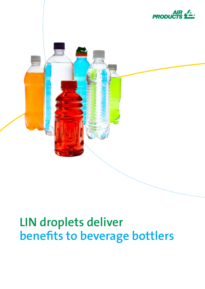



# **LIN droplets deliver benefits to beverage bottlers**